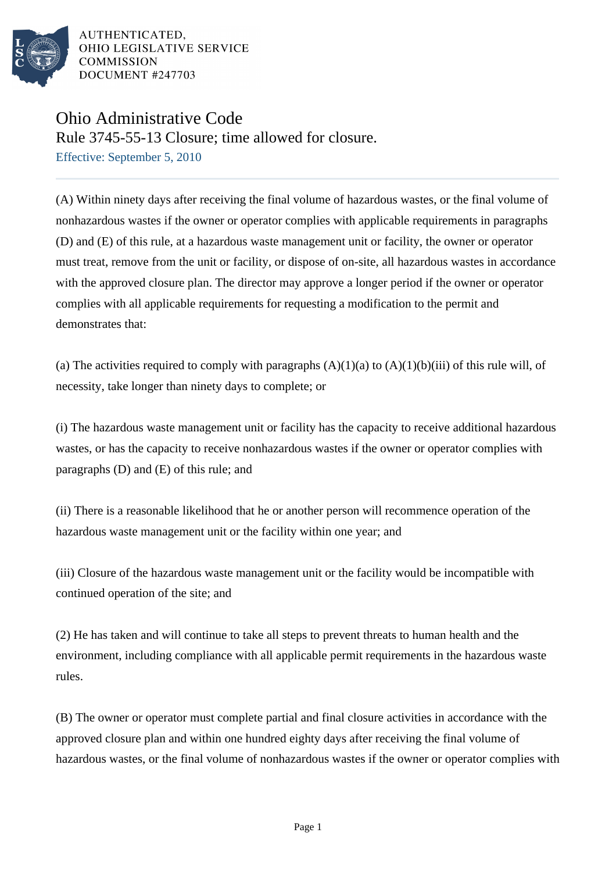

## Ohio Administrative Code

Rule 3745-55-13 Closure; time allowed for closure.

Effective: September 5, 2010

(A) Within ninety days after receiving the final volume of hazardous wastes, or the final volume of nonhazardous wastes if the owner or operator complies with applicable requirements in paragraphs (D) and (E) of this rule, at a hazardous waste management unit or facility, the owner or operator must treat, remove from the unit or facility, or dispose of on-site, all hazardous wastes in accordance with the approved closure plan. The director may approve a longer period if the owner or operator complies with all applicable requirements for requesting a modification to the permit and demonstrates that:

(a) The activities required to comply with paragraphs  $(A)(1)(a)$  to  $(A)(1)(b)(iii)$  of this rule will, of necessity, take longer than ninety days to complete; or

(i) The hazardous waste management unit or facility has the capacity to receive additional hazardous wastes, or has the capacity to receive nonhazardous wastes if the owner or operator complies with paragraphs (D) and (E) of this rule; and

(ii) There is a reasonable likelihood that he or another person will recommence operation of the hazardous waste management unit or the facility within one year; and

(iii) Closure of the hazardous waste management unit or the facility would be incompatible with continued operation of the site; and

(2) He has taken and will continue to take all steps to prevent threats to human health and the environment, including compliance with all applicable permit requirements in the hazardous waste rules.

(B) The owner or operator must complete partial and final closure activities in accordance with the approved closure plan and within one hundred eighty days after receiving the final volume of hazardous wastes, or the final volume of nonhazardous wastes if the owner or operator complies with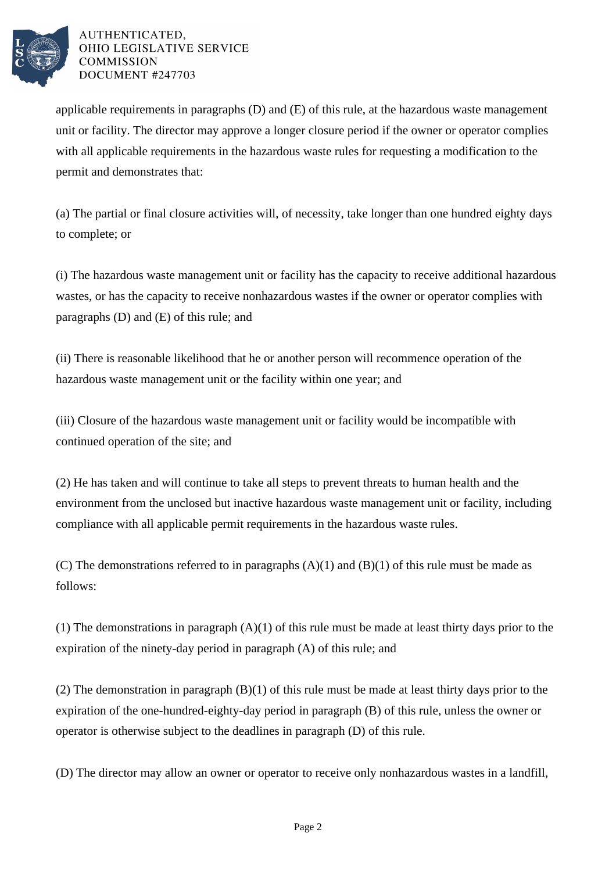

applicable requirements in paragraphs (D) and (E) of this rule, at the hazardous waste management unit or facility. The director may approve a longer closure period if the owner or operator complies with all applicable requirements in the hazardous waste rules for requesting a modification to the permit and demonstrates that:

(a) The partial or final closure activities will, of necessity, take longer than one hundred eighty days to complete; or

(i) The hazardous waste management unit or facility has the capacity to receive additional hazardous wastes, or has the capacity to receive nonhazardous wastes if the owner or operator complies with paragraphs (D) and (E) of this rule; and

(ii) There is reasonable likelihood that he or another person will recommence operation of the hazardous waste management unit or the facility within one year; and

(iii) Closure of the hazardous waste management unit or facility would be incompatible with continued operation of the site; and

(2) He has taken and will continue to take all steps to prevent threats to human health and the environment from the unclosed but inactive hazardous waste management unit or facility, including compliance with all applicable permit requirements in the hazardous waste rules.

(C) The demonstrations referred to in paragraphs  $(A)(1)$  and  $(B)(1)$  of this rule must be made as follows:

(1) The demonstrations in paragraph (A)(1) of this rule must be made at least thirty days prior to the expiration of the ninety-day period in paragraph (A) of this rule; and

(2) The demonstration in paragraph (B)(1) of this rule must be made at least thirty days prior to the expiration of the one-hundred-eighty-day period in paragraph (B) of this rule, unless the owner or operator is otherwise subject to the deadlines in paragraph (D) of this rule.

(D) The director may allow an owner or operator to receive only nonhazardous wastes in a landfill,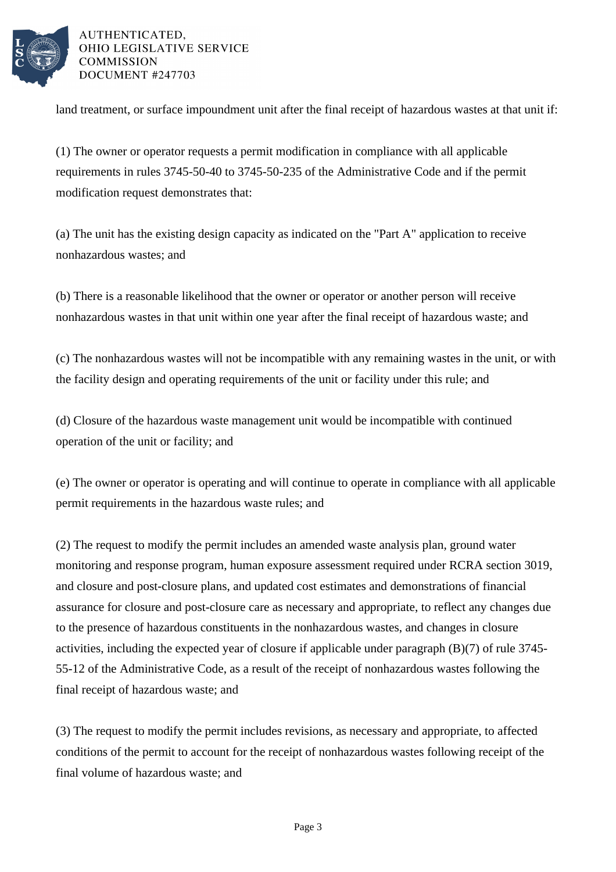

land treatment, or surface impoundment unit after the final receipt of hazardous wastes at that unit if:

(1) The owner or operator requests a permit modification in compliance with all applicable requirements in rules 3745-50-40 to 3745-50-235 of the Administrative Code and if the permit modification request demonstrates that:

(a) The unit has the existing design capacity as indicated on the "Part A" application to receive nonhazardous wastes; and

(b) There is a reasonable likelihood that the owner or operator or another person will receive nonhazardous wastes in that unit within one year after the final receipt of hazardous waste; and

(c) The nonhazardous wastes will not be incompatible with any remaining wastes in the unit, or with the facility design and operating requirements of the unit or facility under this rule; and

(d) Closure of the hazardous waste management unit would be incompatible with continued operation of the unit or facility; and

(e) The owner or operator is operating and will continue to operate in compliance with all applicable permit requirements in the hazardous waste rules; and

(2) The request to modify the permit includes an amended waste analysis plan, ground water monitoring and response program, human exposure assessment required under RCRA section 3019, and closure and post-closure plans, and updated cost estimates and demonstrations of financial assurance for closure and post-closure care as necessary and appropriate, to reflect any changes due to the presence of hazardous constituents in the nonhazardous wastes, and changes in closure activities, including the expected year of closure if applicable under paragraph (B)(7) of rule 3745- 55-12 of the Administrative Code, as a result of the receipt of nonhazardous wastes following the final receipt of hazardous waste; and

(3) The request to modify the permit includes revisions, as necessary and appropriate, to affected conditions of the permit to account for the receipt of nonhazardous wastes following receipt of the final volume of hazardous waste; and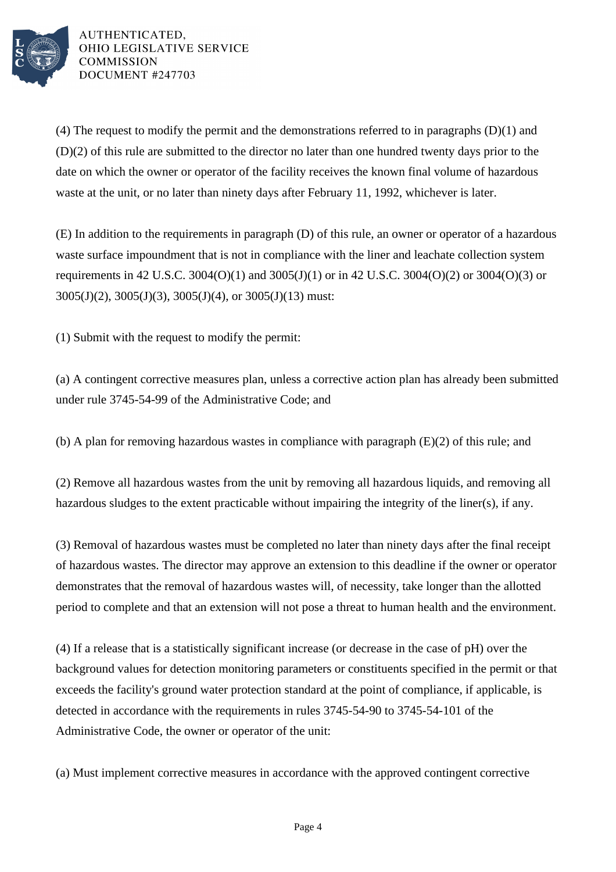

(4) The request to modify the permit and the demonstrations referred to in paragraphs (D)(1) and (D)(2) of this rule are submitted to the director no later than one hundred twenty days prior to the date on which the owner or operator of the facility receives the known final volume of hazardous waste at the unit, or no later than ninety days after February 11, 1992, whichever is later.

(E) In addition to the requirements in paragraph (D) of this rule, an owner or operator of a hazardous waste surface impoundment that is not in compliance with the liner and leachate collection system requirements in 42 U.S.C. 3004(O)(1) and 3005(J)(1) or in 42 U.S.C. 3004(O)(2) or 3004(O)(3) or 3005(J)(2), 3005(J)(3), 3005(J)(4), or 3005(J)(13) must:

(1) Submit with the request to modify the permit:

(a) A contingent corrective measures plan, unless a corrective action plan has already been submitted under rule 3745-54-99 of the Administrative Code; and

(b) A plan for removing hazardous wastes in compliance with paragraph (E)(2) of this rule; and

(2) Remove all hazardous wastes from the unit by removing all hazardous liquids, and removing all hazardous sludges to the extent practicable without impairing the integrity of the liner(s), if any.

(3) Removal of hazardous wastes must be completed no later than ninety days after the final receipt of hazardous wastes. The director may approve an extension to this deadline if the owner or operator demonstrates that the removal of hazardous wastes will, of necessity, take longer than the allotted period to complete and that an extension will not pose a threat to human health and the environment.

(4) If a release that is a statistically significant increase (or decrease in the case of pH) over the background values for detection monitoring parameters or constituents specified in the permit or that exceeds the facility's ground water protection standard at the point of compliance, if applicable, is detected in accordance with the requirements in rules 3745-54-90 to 3745-54-101 of the Administrative Code, the owner or operator of the unit:

(a) Must implement corrective measures in accordance with the approved contingent corrective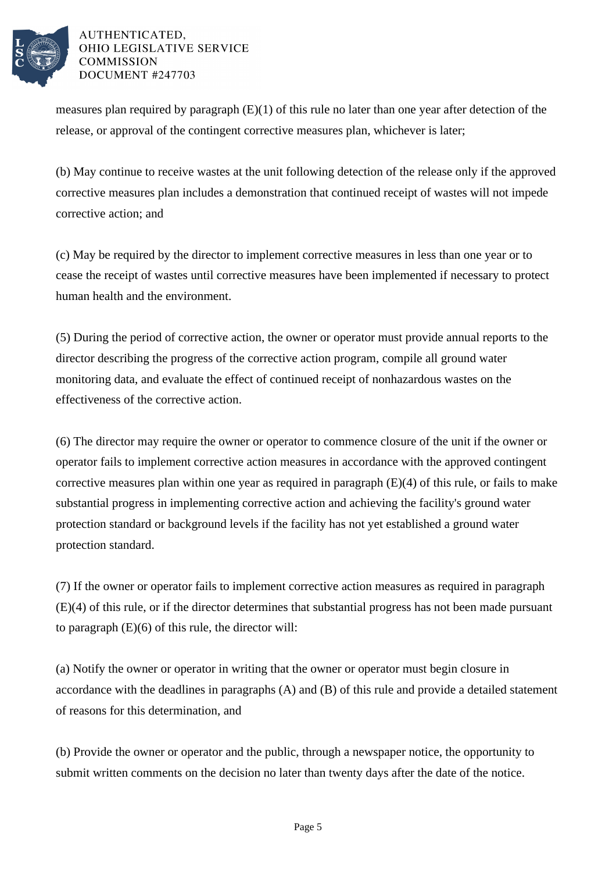

measures plan required by paragraph  $(E)(1)$  of this rule no later than one year after detection of the release, or approval of the contingent corrective measures plan, whichever is later;

(b) May continue to receive wastes at the unit following detection of the release only if the approved corrective measures plan includes a demonstration that continued receipt of wastes will not impede corrective action; and

(c) May be required by the director to implement corrective measures in less than one year or to cease the receipt of wastes until corrective measures have been implemented if necessary to protect human health and the environment.

(5) During the period of corrective action, the owner or operator must provide annual reports to the director describing the progress of the corrective action program, compile all ground water monitoring data, and evaluate the effect of continued receipt of nonhazardous wastes on the effectiveness of the corrective action.

(6) The director may require the owner or operator to commence closure of the unit if the owner or operator fails to implement corrective action measures in accordance with the approved contingent corrective measures plan within one year as required in paragraph (E)(4) of this rule, or fails to make substantial progress in implementing corrective action and achieving the facility's ground water protection standard or background levels if the facility has not yet established a ground water protection standard.

(7) If the owner or operator fails to implement corrective action measures as required in paragraph (E)(4) of this rule, or if the director determines that substantial progress has not been made pursuant to paragraph (E)(6) of this rule, the director will:

(a) Notify the owner or operator in writing that the owner or operator must begin closure in accordance with the deadlines in paragraphs (A) and (B) of this rule and provide a detailed statement of reasons for this determination, and

(b) Provide the owner or operator and the public, through a newspaper notice, the opportunity to submit written comments on the decision no later than twenty days after the date of the notice.